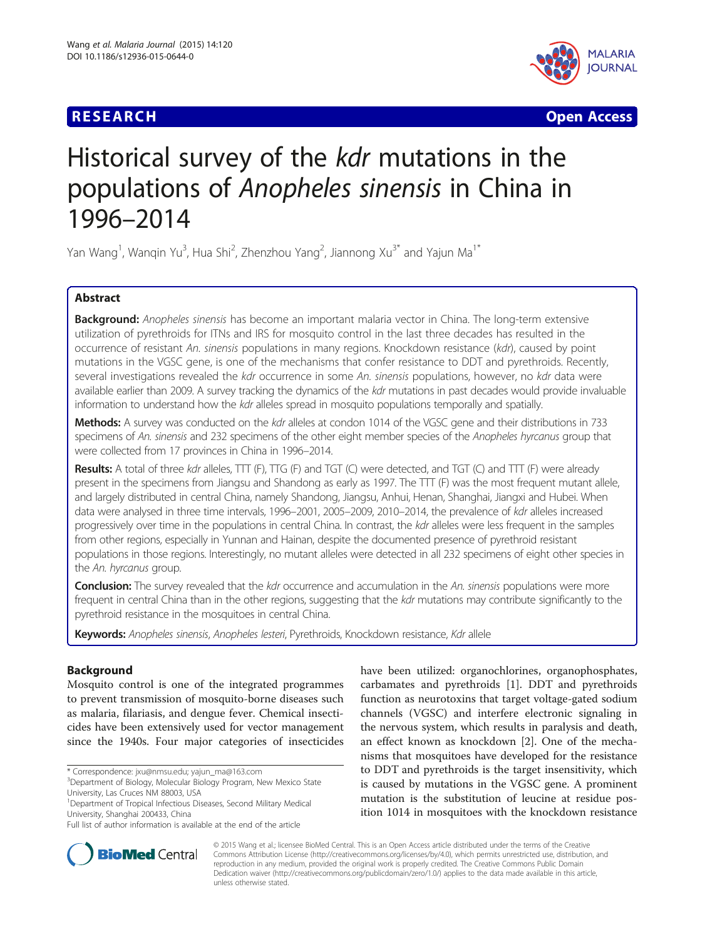# **RESEARCH CHE Open Access**



# Historical survey of the kdr mutations in the populations of Anopheles sinensis in China in 1996–2014

Yan Wang<sup>1</sup>, Wanqin Yu<sup>3</sup>, Hua Shi<sup>2</sup>, Zhenzhou Yang<sup>2</sup>, Jiannong Xu<sup>3\*</sup> and Yajun Ma<sup>1\*</sup>

# Abstract

Background: Anopheles sinensis has become an important malaria vector in China. The long-term extensive utilization of pyrethroids for ITNs and IRS for mosquito control in the last three decades has resulted in the occurrence of resistant An. sinensis populations in many regions. Knockdown resistance (kdr), caused by point mutations in the VGSC gene, is one of the mechanisms that confer resistance to DDT and pyrethroids. Recently, several investigations revealed the kdr occurrence in some An. sinensis populations, however, no kdr data were available earlier than 2009. A survey tracking the dynamics of the kdr mutations in past decades would provide invaluable information to understand how the kdr alleles spread in mosquito populations temporally and spatially.

Methods: A survey was conducted on the kdr alleles at condon 1014 of the VGSC gene and their distributions in 733 specimens of An. sinensis and 232 specimens of the other eight member species of the Anopheles hyrcanus group that were collected from 17 provinces in China in 1996–2014.

Results: A total of three kdr alleles, TTT (F), TTG (F) and TGT (C) were detected, and TGT (C) and TTT (F) were already present in the specimens from Jiangsu and Shandong as early as 1997. The TTT (F) was the most frequent mutant allele, and largely distributed in central China, namely Shandong, Jiangsu, Anhui, Henan, Shanghai, Jiangxi and Hubei. When data were analysed in three time intervals, 1996–2001, 2005–2009, 2010–2014, the prevalence of kdr alleles increased progressively over time in the populations in central China. In contrast, the kdr alleles were less frequent in the samples from other regions, especially in Yunnan and Hainan, despite the documented presence of pyrethroid resistant populations in those regions. Interestingly, no mutant alleles were detected in all 232 specimens of eight other species in the An. hyrcanus group.

Conclusion: The survey revealed that the kdr occurrence and accumulation in the An. sinensis populations were more frequent in central China than in the other regions, suggesting that the kdr mutations may contribute significantly to the pyrethroid resistance in the mosquitoes in central China.

Keywords: Anopheles sinensis, Anopheles lesteri, Pyrethroids, Knockdown resistance, Kdr allele

# Background

Mosquito control is one of the integrated programmes to prevent transmission of mosquito-borne diseases such as malaria, filariasis, and dengue fever. Chemical insecticides have been extensively used for vector management since the 1940s. Four major categories of insecticides

\* Correspondence: [jxu@nmsu.edu](mailto:jxu@nmsu.edu); [yajun\\_ma@163.com](mailto:yajun_ma@163.com) <sup>3</sup>

have been utilized: organochlorines, organophosphates, carbamates and pyrethroids [\[1\]](#page-8-0). DDT and pyrethroids function as neurotoxins that target voltage-gated sodium channels (VGSC) and interfere electronic signaling in the nervous system, which results in paralysis and death, an effect known as knockdown [\[2](#page-8-0)]. One of the mechanisms that mosquitoes have developed for the resistance to DDT and pyrethroids is the target insensitivity, which is caused by mutations in the VGSC gene. A prominent mutation is the substitution of leucine at residue position 1014 in mosquitoes with the knockdown resistance



© 2015 Wang et al.; licensee BioMed Central. This is an Open Access article distributed under the terms of the Creative Commons Attribution License [\(http://creativecommons.org/licenses/by/4.0\)](http://creativecommons.org/licenses/by/4.0), which permits unrestricted use, distribution, and reproduction in any medium, provided the original work is properly credited. The Creative Commons Public Domain Dedication waiver [\(http://creativecommons.org/publicdomain/zero/1.0/](http://creativecommons.org/publicdomain/zero/1.0/)) applies to the data made available in this article, unless otherwise stated.

<sup>&</sup>lt;sup>3</sup> Department of Biology, Molecular Biology Program, New Mexico State University, Las Cruces NM 88003, USA

<sup>&</sup>lt;sup>1</sup>Department of Tropical Infectious Diseases, Second Military Medical University, Shanghai 200433, China

Full list of author information is available at the end of the article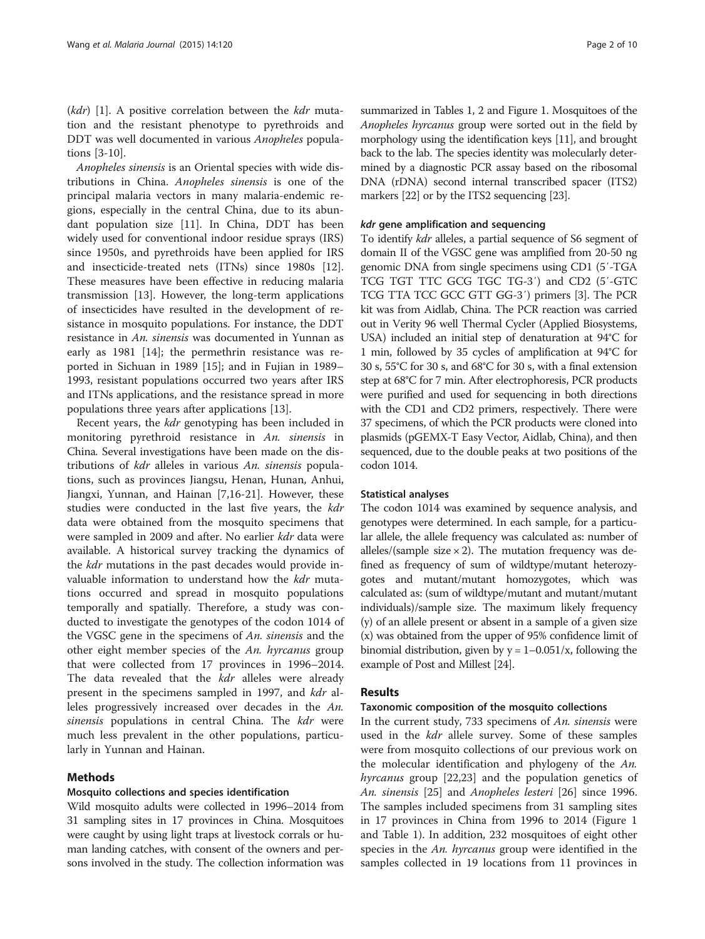$(kdr)$  [[1\]](#page-8-0). A positive correlation between the  $kdr$  mutation and the resistant phenotype to pyrethroids and DDT was well documented in various Anopheles populations [[3-10](#page-8-0)].

Anopheles sinensis is an Oriental species with wide distributions in China. Anopheles sinensis is one of the principal malaria vectors in many malaria-endemic regions, especially in the central China, due to its abundant population size [[11](#page-8-0)]. In China, DDT has been widely used for conventional indoor residue sprays (IRS) since 1950s, and pyrethroids have been applied for IRS and insecticide-treated nets (ITNs) since 1980s [\[12](#page-8-0)]. These measures have been effective in reducing malaria transmission [\[13](#page-8-0)]. However, the long-term applications of insecticides have resulted in the development of resistance in mosquito populations. For instance, the DDT resistance in An. sinensis was documented in Yunnan as early as 1981 [\[14\]](#page-8-0); the permethrin resistance was reported in Sichuan in 1989 [\[15\]](#page-8-0); and in Fujian in 1989– 1993, resistant populations occurred two years after IRS and ITNs applications, and the resistance spread in more populations three years after applications [\[13](#page-8-0)].

Recent years, the kdr genotyping has been included in monitoring pyrethroid resistance in An. sinensis in China. Several investigations have been made on the distributions of kdr alleles in various An. sinensis populations, such as provinces Jiangsu, Henan, Hunan, Anhui, Jiangxi, Yunnan, and Hainan [[7,16-21\]](#page-8-0). However, these studies were conducted in the last five years, the kdr data were obtained from the mosquito specimens that were sampled in 2009 and after. No earlier kdr data were available. A historical survey tracking the dynamics of the kdr mutations in the past decades would provide invaluable information to understand how the *kdr* mutations occurred and spread in mosquito populations temporally and spatially. Therefore, a study was conducted to investigate the genotypes of the codon 1014 of the VGSC gene in the specimens of An. sinensis and the other eight member species of the An. hyrcanus group that were collected from 17 provinces in 1996–2014. The data revealed that the kdr alleles were already present in the specimens sampled in 1997, and *kdr* alleles progressively increased over decades in the An. sinensis populations in central China. The *kdr* were much less prevalent in the other populations, particularly in Yunnan and Hainan.

# Methods

### Mosquito collections and species identification

Wild mosquito adults were collected in 1996–2014 from 31 sampling sites in 17 provinces in China. Mosquitoes were caught by using light traps at livestock corrals or human landing catches, with consent of the owners and persons involved in the study. The collection information was

summarized in Tables [1](#page-2-0), [2](#page-3-0) and Figure [1.](#page-4-0) Mosquitoes of the Anopheles hyrcanus group were sorted out in the field by morphology using the identification keys [\[11\]](#page-8-0), and brought back to the lab. The species identity was molecularly determined by a diagnostic PCR assay based on the ribosomal DNA (rDNA) second internal transcribed spacer (ITS2) markers [\[22\]](#page-8-0) or by the ITS2 sequencing [\[23\]](#page-8-0).

#### kdr gene amplification and sequencing

To identify kdr alleles, a partial sequence of S6 segment of domain II of the VGSC gene was amplified from 20-50 ng genomic DNA from single specimens using CD1 (5′-TGA TCG TGT TTC GCG TGC TG-3′) and CD2 (5′-GTC TCG TTA TCC GCC GTT GG-3′) primers [\[3](#page-8-0)]. The PCR kit was from Aidlab, China. The PCR reaction was carried out in Verity 96 well Thermal Cycler (Applied Biosystems, USA) included an initial step of denaturation at 94°C for 1 min, followed by 35 cycles of amplification at 94°C for 30 s, 55°C for 30 s, and 68°C for 30 s, with a final extension step at 68°C for 7 min. After electrophoresis, PCR products were purified and used for sequencing in both directions with the CD1 and CD2 primers, respectively. There were 37 specimens, of which the PCR products were cloned into plasmids (pGEMX-T Easy Vector, Aidlab, China), and then sequenced, due to the double peaks at two positions of the codon 1014.

#### Statistical analyses

The codon 1014 was examined by sequence analysis, and genotypes were determined. In each sample, for a particular allele, the allele frequency was calculated as: number of alleles/(sample size  $\times$  2). The mutation frequency was defined as frequency of sum of wildtype/mutant heterozygotes and mutant/mutant homozygotes, which was calculated as: (sum of wildtype/mutant and mutant/mutant individuals)/sample size. The maximum likely frequency (y) of an allele present or absent in a sample of a given size (x) was obtained from the upper of 95% confidence limit of binomial distribution, given by  $y = 1 - 0.051/x$ , following the example of Post and Millest [\[24\]](#page-9-0).

#### Results

### Taxonomic composition of the mosquito collections

In the current study, 733 specimens of An. sinensis were used in the *kdr* allele survey. Some of these samples were from mosquito collections of our previous work on the molecular identification and phylogeny of the An. hyrcanus group [[22,23\]](#page-8-0) and the population genetics of An. sinensis [\[25\]](#page-9-0) and Anopheles lesteri [[26\]](#page-9-0) since 1996. The samples included specimens from 31 sampling sites in 17 provinces in China from 1996 to 2014 (Figure [1](#page-4-0) and Table [1\)](#page-2-0). In addition, 232 mosquitoes of eight other species in the An. hyrcanus group were identified in the samples collected in 19 locations from 11 provinces in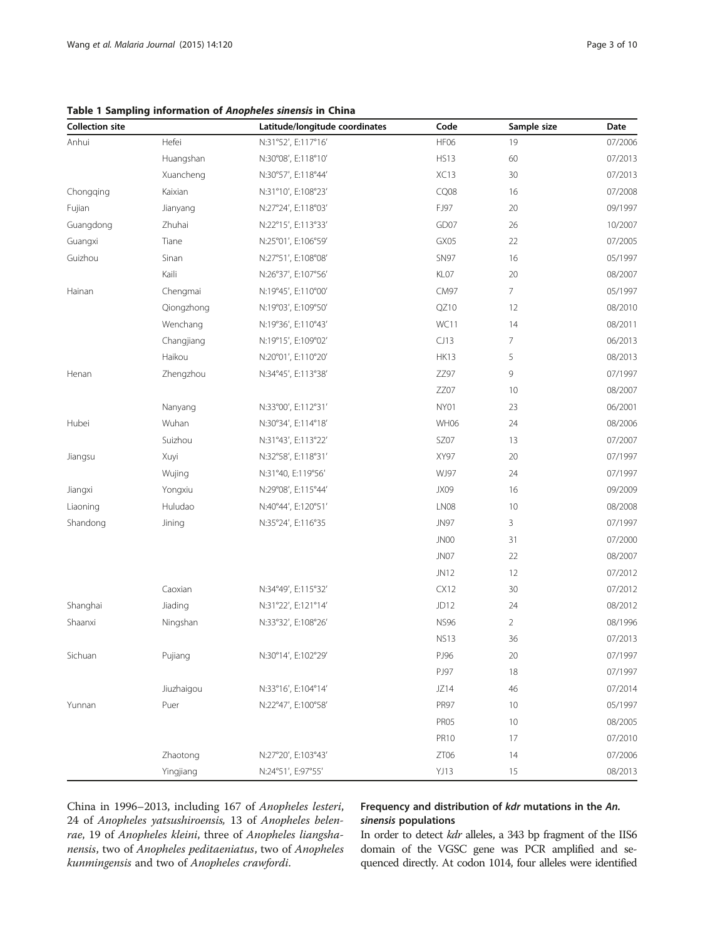# <span id="page-2-0"></span>Table 1 Sampling information of Anopheles sinensis in China

| <b>Collection site</b> |            | Latitude/longitude coordinates | Code             | Sample size    | Date    |
|------------------------|------------|--------------------------------|------------------|----------------|---------|
| Anhui                  | Hefei      | N:31°52', E:117°16'            | HF06             | 19             | 07/2006 |
|                        | Huangshan  | N:30°08', E:118°10'            | <b>HS13</b>      | 60             | 07/2013 |
|                        | Xuancheng  | N:30°57', E:118°44'            | XC13             | 30             | 07/2013 |
| Chongqing              | Kaixian    | N:31°10', E:108°23'            | CQ08             | 16             | 07/2008 |
| Fujian                 | Jianyang   | N:27°24', E:118°03'            | FJ97             | 20             | 09/1997 |
| Guangdong              | Zhuhai     | N:22°15', E:113°33'            | GD07             | 26             | 10/2007 |
| Guangxi                | Tiane      | N:25°01', E:106°59'            | GX05             | 22             | 07/2005 |
| Guizhou                | Sinan      | N:27°51', E:108°08'            | <b>SN97</b>      | 16             | 05/1997 |
|                        | Kaili      | N:26°37', E:107°56'            | KL07             | 20             | 08/2007 |
| Hainan                 | Chengmai   | N:19°45', E:110°00'            | CM97             | 7              | 05/1997 |
|                        | Qiongzhong | N:19°03', E:109°50'            | QZ10             | 12             | 08/2010 |
|                        | Wenchang   | N:19°36', E:110°43'            | WC11             | 14             | 08/2011 |
|                        | Changjiang | N:19°15', E:109°02'            | CJ13             | 7              | 06/2013 |
|                        | Haikou     | N:20°01', E:110°20'            | <b>HK13</b>      | 5              | 08/2013 |
| Henan                  | Zhengzhou  | N:34°45', E:113°38'            | ZZ97             | 9              | 07/1997 |
|                        |            |                                | ZZ07             | 10             | 08/2007 |
|                        | Nanyang    | N:33°00', E:112°31'            | NY01             | 23             | 06/2001 |
| Hubei                  | Wuhan      | N:30°34', E:114°18'            | <b>WH06</b>      | 24             | 08/2006 |
|                        | Suizhou    | N:31°43', E:113°22'            | SZ07             | 13             | 07/2007 |
| Jiangsu                | Xuyi       | N:32°58', E:118°31'            | XY97             | 20             | 07/1997 |
|                        | Wujing     | N:31°40, E:119°56'             | WJ97             | 24             | 07/1997 |
| Jiangxi                | Yongxiu    | N:29°08', E:115°44'            | JX09             | 16             | 09/2009 |
| Liaoning               | Huludao    | N:40°44', E:120°51'            | LN08             | 10             | 08/2008 |
| Shandong               | Jining     | N:35°24', E:116°35             | <b>JN97</b>      | 3              | 07/1997 |
|                        |            |                                | JN00             | 31             | 07/2000 |
|                        |            |                                | JN07             | 22             | 08/2007 |
|                        |            |                                | JN12             | 12             | 07/2012 |
|                        | Caoxian    | N:34°49', E:115°32'            | CX12             | 30             | 07/2012 |
| Shanghai               | Jiading    | N:31°22', E:121°14'            | JD12             | 24             | 08/2012 |
| Shaanxi                | Ningshan   | N:33°32', E:108°26'            | <b>NS96</b>      | $\overline{2}$ | 08/1996 |
|                        |            |                                | <b>NS13</b>      | 36             | 07/2013 |
| Sichuan                | Pujiang    | N:30°14', E:102°29'            | PJ96             | 20             | 07/1997 |
|                        |            |                                | PJ97             | 18             | 07/1997 |
|                        | Jiuzhaigou | N:33°16', E:104°14'            | JZ14             | 46             | 07/2014 |
| Yunnan                 | Puer       | N:22°47', E:100°58'            | <b>PR97</b>      | 10             | 05/1997 |
|                        |            |                                | PR <sub>05</sub> | 10             | 08/2005 |
|                        |            |                                | <b>PR10</b>      | 17             | 07/2010 |
|                        | Zhaotong   | N:27°20', E:103°43'            | ZT06             | 14             | 07/2006 |
|                        | Yingjiang  | N:24°51', E:97°55'             | YJ13             | 15             | 08/2013 |

China in 1996–2013, including 167 of Anopheles lesteri, 24 of Anopheles yatsushiroensis, 13 of Anopheles belenrae, 19 of Anopheles kleini, three of Anopheles liangshanensis, two of Anopheles peditaeniatus, two of Anopheles kunmingensis and two of Anopheles crawfordi.

# Frequency and distribution of kdr mutations in the An. sinensis populations

In order to detect kdr alleles, a 343 bp fragment of the IIS6 domain of the VGSC gene was PCR amplified and sequenced directly. At codon 1014, four alleles were identified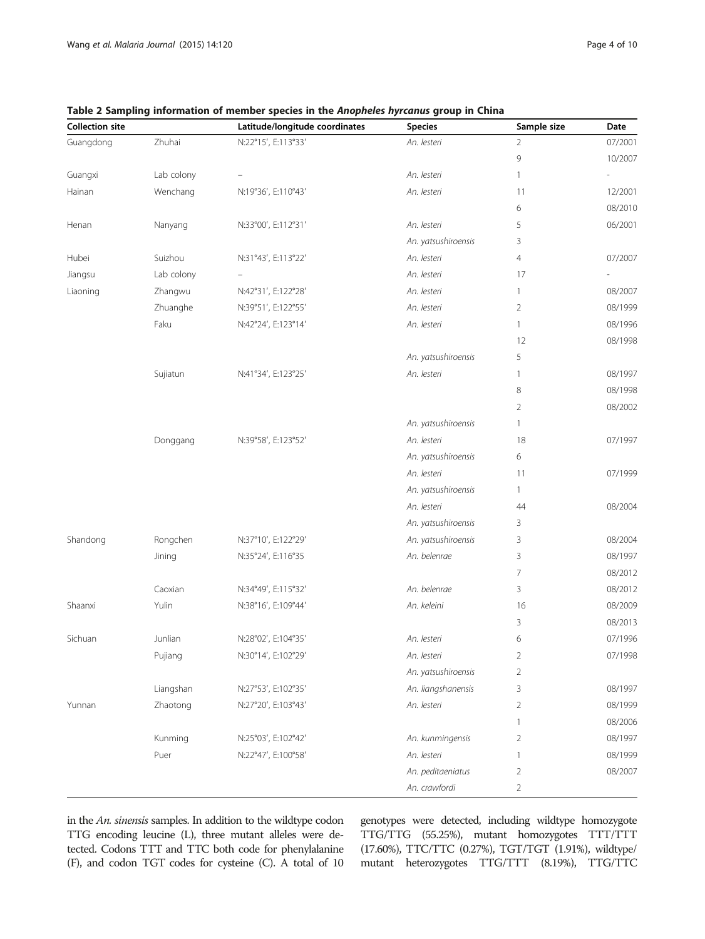| <b>Collection site</b> |            | Latitude/longitude coordinates | <b>Species</b>      | Sample size    | Date    |
|------------------------|------------|--------------------------------|---------------------|----------------|---------|
| Guangdong              | Zhuhai     | N:22°15', E:113°33'            | An. lesteri         | $\overline{2}$ | 07/2001 |
|                        |            |                                |                     | 9              | 10/2007 |
| Guangxi                | Lab colony |                                | An. lesteri         | 1              |         |
| Hainan                 | Wenchang   | N:19°36', E:110°43'            | An. lesteri         | 11             | 12/2001 |
|                        |            |                                |                     | 6              | 08/2010 |
| Henan                  | Nanyang    | N:33°00', E:112°31'            | An. lesteri         | 5              | 06/2001 |
|                        |            |                                | An. yatsushiroensis | 3              |         |
| Hubei                  | Suizhou    | N:31°43', E:113°22'            | An. lesteri         | $\overline{4}$ | 07/2007 |
| Jiangsu                | Lab colony |                                | An. lesteri         | 17             |         |
| Liaoning               | Zhangwu    | N:42°31', E:122°28'            | An. lesteri         | $\mathbf{1}$   | 08/2007 |
|                        | Zhuanghe   | N:39°51', E:122°55'            | An. lesteri         | $\overline{2}$ | 08/1999 |
|                        | Faku       | N:42°24', E:123°14'            | An. lesteri         | $\mathbf{1}$   | 08/1996 |
|                        |            |                                |                     | 12             | 08/1998 |
|                        |            |                                | An. yatsushiroensis | 5              |         |
|                        | Sujiatun   | N:41°34', E:123°25'            | An. lesteri         | $\mathbf{1}$   | 08/1997 |
|                        |            |                                |                     | 8              | 08/1998 |
|                        |            |                                |                     | $\overline{2}$ | 08/2002 |
|                        |            |                                | An. yatsushiroensis | $\mathbf{1}$   |         |
|                        | Donggang   | N:39°58', E:123°52'            | An. lesteri         | 18             | 07/1997 |
|                        |            |                                | An. yatsushiroensis | 6              |         |
|                        |            |                                | An. lesteri         | 11             | 07/1999 |
|                        |            |                                | An. yatsushiroensis | $\mathbf{1}$   |         |
|                        |            |                                | An. lesteri         | 44             | 08/2004 |
|                        |            |                                | An. yatsushiroensis | 3              |         |
| Shandong               | Rongchen   | N:37°10', E:122°29'            | An. yatsushiroensis | 3              | 08/2004 |
|                        | Jining     | N:35°24', E:116°35             | An. belenrae        | 3              | 08/1997 |
|                        |            |                                |                     | 7              | 08/2012 |
|                        | Caoxian    | N:34°49', E:115°32'            | An. belenrae        | 3              | 08/2012 |
| Shaanxi                | Yulin      | N:38°16', E:109°44'            | An. keleini         | 16             | 08/2009 |
|                        |            |                                |                     | 3              | 08/2013 |
| Sichuan                | Junlian    | N:28°02', E:104°35'            | An. lesteri         | 6              | 07/1996 |
|                        | Pujiang    | N:30°14', E:102°29'            | An. lesteri         | 2              | 07/1998 |
|                        |            |                                | An. yatsushiroensis | 2              |         |
|                        | Liangshan  | N:27°53', E:102°35'            | An. liangshanensis  | 3              | 08/1997 |
| Yunnan                 | Zhaotong   | N:27°20', E:103°43'            | An. lesteri         | 2              | 08/1999 |
|                        |            |                                |                     | $\mathbf{1}$   | 08/2006 |
|                        | Kunming    | N:25°03', E:102°42'            | An. kunmingensis    | $\overline{2}$ | 08/1997 |
|                        | Puer       | N:22°47', E:100°58'            | An. lesteri         | $\mathbf{1}$   | 08/1999 |
|                        |            |                                | An. peditaeniatus   | $\overline{2}$ | 08/2007 |
|                        |            |                                | An. crawfordi       | $\overline{2}$ |         |

<span id="page-3-0"></span>Table 2 Sampling information of member species in the Anopheles hyrcanus group in China

in the An. sinensis samples. In addition to the wildtype codon TTG encoding leucine (L), three mutant alleles were detected. Codons TTT and TTC both code for phenylalanine (F), and codon TGT codes for cysteine (C). A total of 10 genotypes were detected, including wildtype homozygote TTG/TTG (55.25%), mutant homozygotes TTT/TTT (17.60%), TTC/TTC (0.27%), TGT/TGT (1.91%), wildtype/ mutant heterozygotes TTG/TTT (8.19%), TTG/TTC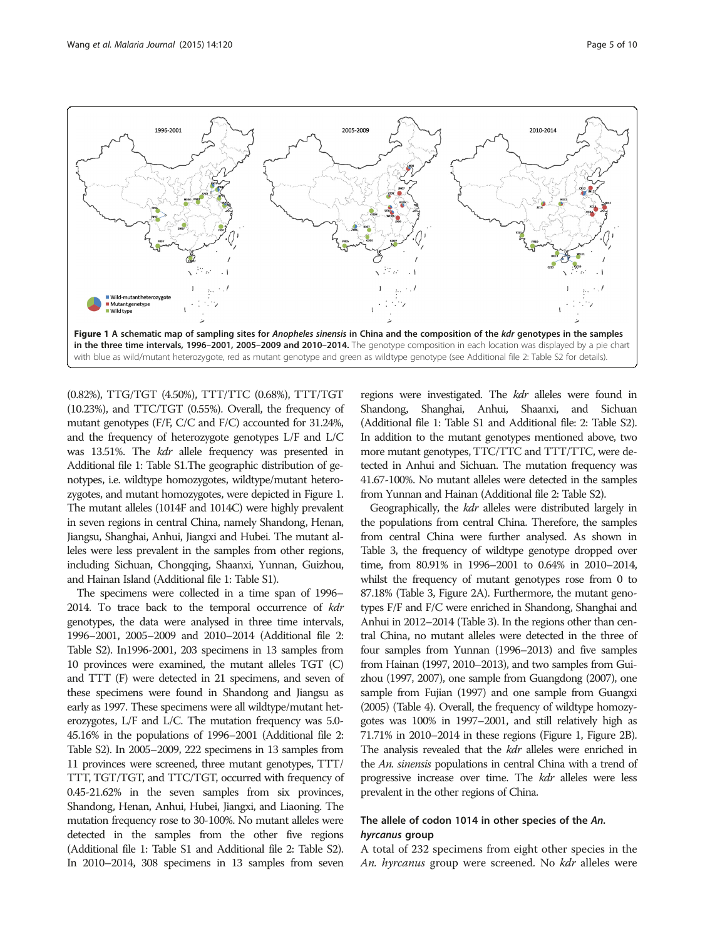<span id="page-4-0"></span>

(0.82%), TTG/TGT (4.50%), TTT/TTC (0.68%), TTT/TGT (10.23%), and TTC/TGT (0.55%). Overall, the frequency of mutant genotypes (F/F, C/C and F/C) accounted for 31.24%, and the frequency of heterozygote genotypes L/F and L/C was 13.51%. The kdr allele frequency was presented in Additional file [1:](#page-8-0) Table S1.The geographic distribution of genotypes, i.e. wildtype homozygotes, wildtype/mutant heterozygotes, and mutant homozygotes, were depicted in Figure 1. The mutant alleles (1014F and 1014C) were highly prevalent in seven regions in central China, namely Shandong, Henan, Jiangsu, Shanghai, Anhui, Jiangxi and Hubei. The mutant alleles were less prevalent in the samples from other regions, including Sichuan, Chongqing, Shaanxi, Yunnan, Guizhou, and Hainan Island (Additional file [1:](#page-8-0) Table S1).

The specimens were collected in a time span of 1996– 2014. To trace back to the temporal occurrence of kdr genotypes, the data were analysed in three time intervals, 1996–2001, 2005–2009 and 2010–2014 (Additional file [2](#page-8-0): Table S2). In1996-2001, 203 specimens in 13 samples from 10 provinces were examined, the mutant alleles TGT (C) and TTT (F) were detected in 21 specimens, and seven of these specimens were found in Shandong and Jiangsu as early as 1997. These specimens were all wildtype/mutant heterozygotes, L/F and L/C. The mutation frequency was 5.0- 45.16% in the populations of 1996–2001 (Additional file [2](#page-8-0): Table S2). In 2005–2009, 222 specimens in 13 samples from 11 provinces were screened, three mutant genotypes, TTT/ TTT, TGT/TGT, and TTC/TGT, occurred with frequency of 0.45-21.62% in the seven samples from six provinces, Shandong, Henan, Anhui, Hubei, Jiangxi, and Liaoning. The mutation frequency rose to 30-100%. No mutant alleles were detected in the samples from the other five regions (Additional file [1:](#page-8-0) Table S1 and Additional file [2:](#page-8-0) Table S2). In 2010–2014, 308 specimens in 13 samples from seven regions were investigated. The kdr alleles were found in Shandong, Shanghai, Anhui, Shaanxi, and Sichuan (Additional file [1](#page-8-0): Table S1 and Additional file: [2:](#page-8-0) Table S2). In addition to the mutant genotypes mentioned above, two more mutant genotypes, TTC/TTC and TTT/TTC, were detected in Anhui and Sichuan. The mutation frequency was 41.67-100%. No mutant alleles were detected in the samples from Yunnan and Hainan (Additional file [2](#page-8-0): Table S2).

Geographically, the kdr alleles were distributed largely in the populations from central China. Therefore, the samples from central China were further analysed. As shown in Table [3](#page-5-0), the frequency of wildtype genotype dropped over time, from 80.91% in 1996–2001 to 0.64% in 2010–2014, whilst the frequency of mutant genotypes rose from 0 to 87.18% (Table [3,](#page-5-0) Figure [2](#page-6-0)A). Furthermore, the mutant genotypes F/F and F/C were enriched in Shandong, Shanghai and Anhui in 2012–2014 (Table [3\)](#page-5-0). In the regions other than central China, no mutant alleles were detected in the three of four samples from Yunnan (1996–2013) and five samples from Hainan (1997, 2010–2013), and two samples from Guizhou (1997, 2007), one sample from Guangdong (2007), one sample from Fujian (1997) and one sample from Guangxi (2005) (Table [4](#page-7-0)). Overall, the frequency of wildtype homozygotes was 100% in 1997–2001, and still relatively high as 71.71% in 2010–2014 in these regions (Figure 1, Figure [2B](#page-6-0)). The analysis revealed that the *kdr* alleles were enriched in the An. sinensis populations in central China with a trend of progressive increase over time. The kdr alleles were less prevalent in the other regions of China.

# The allele of codon 1014 in other species of the An. hyrcanus group

A total of 232 specimens from eight other species in the An. hyrcanus group were screened. No kdr alleles were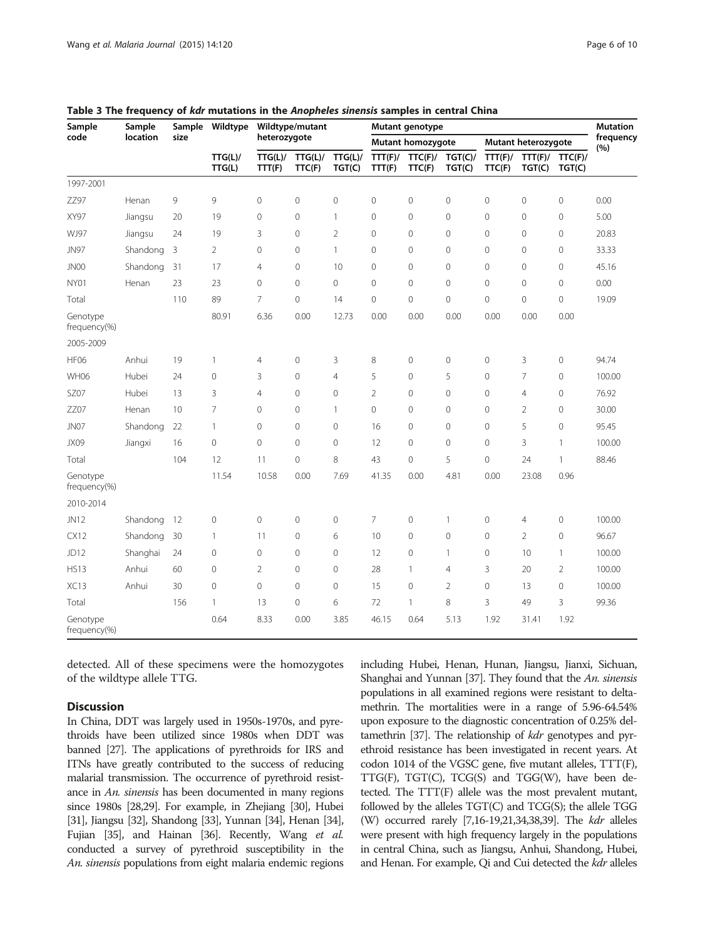| Sample                   | Sample<br>location | Sample<br>size | Wildtype<br>TTG(L)/<br>TTG(L) | Wildtype/mutant<br>heterozygote |                   |                   | Mutant genotype   | <b>Mutation</b>   |                     |                     |                   |                   |                  |
|--------------------------|--------------------|----------------|-------------------------------|---------------------------------|-------------------|-------------------|-------------------|-------------------|---------------------|---------------------|-------------------|-------------------|------------------|
| code                     |                    |                |                               |                                 |                   |                   | Mutant homozygote |                   |                     | Mutant heterozygote |                   |                   | frequency<br>(%) |
|                          |                    |                |                               | TTG(L)/<br>TTT(F)               | TTG(L)/<br>TTC(F) | TTG(L)/<br>TGT(C) | TTT(F)/<br>TTT(F) | TTC(F)/<br>TTC(F) | TGT(C)/<br>TGT(C)   | TTT(F)/<br>TTC(F)   | TTT(F)/<br>TGT(C) | TTC(F)/<br>TGT(C) |                  |
| 1997-2001                |                    |                |                               |                                 |                   |                   |                   |                   |                     |                     |                   |                   |                  |
| ZZ97                     | Henan              | 9              | 9                             | $\mathbf{0}$                    | $\mathbf 0$       | $\mathbf{0}$      | 0                 | $\mathbf 0$       | $\circ$             | $\mathbf 0$         | $\circ$           | $\mathbf{0}$      | 0.00             |
| XY97                     | Jiangsu            | 20             | 19                            | $\mathbf 0$                     | $\mathbf 0$       | $\mathbf{1}$      | 0                 | $\mathbf 0$       | $\mathbf 0$         | $\mathbf 0$         | $\mathbf{0}$      | $\mathbf 0$       | 5.00             |
| WJ97                     | Jiangsu            | 24             | 19                            | 3                               | $\mathbf 0$       | $\overline{2}$    | 0                 | $\mathbf 0$       | $\mathsf{O}\xspace$ | $\circ$             | $\circ$           | 0                 | 20.83            |
| <b>JN97</b>              | Shandong           | 3              | $\overline{2}$                | $\mathbf{0}$                    | $\mathbf 0$       | $\overline{1}$    | 0                 | $\mathbf 0$       | $\mathsf{O}\xspace$ | $\mathbf 0$         | 0                 | 0                 | 33.33            |
| JN00                     | Shandong           | 31             | 17                            | $\overline{4}$                  | $\mathbf 0$       | 10                | 0                 | $\Omega$          | $\mathbf 0$         | $\Omega$            | $\mathbf{0}$      | $\mathbf 0$       | 45.16            |
| NY01                     | Henan              | 23             | 23                            | $\mathbf{0}$                    | $\mathbf 0$       | $\mathbf{0}$      | 0                 | $\mathbf 0$       | $\mathbf{0}$        | $\mathbf 0$         | $\mathbf{0}$      | $\mathbf{0}$      | 0.00             |
| Total                    |                    | 110            | 89                            | 7                               | $\mathbf 0$       | 14                | 0                 | $\mathbf 0$       | $\mathbf 0$         | $\mathbf 0$         | $\mathbf 0$       | 0                 | 19.09            |
| Genotype<br>frequency(%) |                    |                | 80.91                         | 6.36                            | 0.00              | 12.73             | 0.00              | 0.00              | 0.00                | 0.00                | 0.00              | 0.00              |                  |
| 2005-2009                |                    |                |                               |                                 |                   |                   |                   |                   |                     |                     |                   |                   |                  |
| <b>HF06</b>              | Anhui              | 19             | 1                             | $\overline{4}$                  | $\mathbf 0$       | 3                 | 8                 | $\mathbf 0$       | $\mathbf 0$         | $\mathbf 0$         | 3                 | $\mathbf 0$       | 94.74            |
| <b>WH06</b>              | Hubei              | 24             | 0                             | 3                               | $\mathbf{0}$      | $\overline{4}$    | 5                 | $\Omega$          | 5                   | $\Omega$            | $\overline{7}$    | $\mathbf 0$       | 100.00           |
| SZ07                     | Hubei              | 13             | 3                             | $\overline{4}$                  | $\mathbf 0$       | $\mathbf{0}$      | $\overline{2}$    | $\mathbf 0$       | $\mathbf 0$         | $\mathbf 0$         | $\overline{4}$    | $\mathbf{0}$      | 76.92            |
| ZZ07                     | Henan              | 10             | $\overline{7}$                | $\mathbf{0}$                    | $\mathbf 0$       | $\mathbf{1}$      | 0                 | $\mathbf 0$       | $\circ$             | $\circ$             | $\overline{2}$    | 0                 | 30.00            |
| JN07                     | Shandong           | 22             | $\mathbf{1}$                  | $\mathbf{0}$                    | $\mathbf 0$       | $\mathbf{0}$      | 16                | $\mathbf 0$       | $\mathsf{O}\xspace$ | $\mathbf 0$         | 5                 | $\mathbf 0$       | 95.45            |
| JX09                     | Jiangxi            | 16             | 0                             | $\mathbf{0}$                    | $\mathbf 0$       | $\mathbf{0}$      | 12                | $\Omega$          | $\mathbf 0$         | $\mathbf 0$         | 3                 | $\mathbf{1}$      | 100.00           |
| Total                    |                    | 104            | 12                            | 11                              | $\overline{0}$    | 8                 | 43                | $\Omega$          | 5                   | $\Omega$            | 24                | $\mathbf{1}$      | 88.46            |
| Genotype<br>frequency(%) |                    |                | 11.54                         | 10.58                           | 0.00              | 7.69              | 41.35             | 0.00              | 4.81                | 0.00                | 23.08             | 0.96              |                  |
| 2010-2014                |                    |                |                               |                                 |                   |                   |                   |                   |                     |                     |                   |                   |                  |
| JN12                     | Shandong           | 12             | $\overline{0}$                | $\mathbf{0}$                    | $\mathbf 0$       | $\mathbf 0$       | $\overline{7}$    | $\overline{0}$    | $\mathbf{1}$        | $\circ$             | 4                 | 0                 | 100.00           |
| <b>CX12</b>              | Shandong           | 30             | 1                             | 11                              | $\mathbf 0$       | 6                 | 10                | 0                 | $\overline{0}$      | $\mathbf 0$         | $\overline{2}$    | 0                 | 96.67            |
| JD12                     | Shanghai           | 24             | $\circ$                       | $\mathbf{0}$                    | $\mathbf 0$       | $\mathbf{0}$      | 12                | $\Omega$          | $\mathbf{1}$        | $\mathbf 0$         | 10                | $\mathbf{1}$      | 100.00           |
| <b>HS13</b>              | Anhui              | 60             | 0                             | $\overline{2}$                  | $\mathbf 0$       | $\mathbf{0}$      | 28                | $\mathbf{1}$      | $\overline{4}$      | 3                   | 20                | 2                 | 100.00           |
| XC13                     | Anhui              | 30             | 0                             | $\mathbf{0}$                    | $\mathbf 0$       | $\mathbf{0}$      | 15                | $\mathbf 0$       | $\overline{2}$      | $\mathbf 0$         | 13                | 0                 | 100.00           |
| Total                    |                    | 156            | $\mathbf{1}$                  | 13                              | $\mathbf 0$       | 6                 | 72                | $\mathbf{1}$      | 8                   | 3                   | 49                | 3                 | 99.36            |
| Genotype<br>frequency(%) |                    |                | 0.64                          | 8.33                            | 0.00              | 3.85              | 46.15             | 0.64              | 5.13                | 1.92                | 31.41             | 1.92              |                  |

<span id="page-5-0"></span>Table 3 The frequency of kdr mutations in the Anopheles sinensis samples in central China

detected. All of these specimens were the homozygotes of the wildtype allele TTG.

# **Discussion**

In China, DDT was largely used in 1950s-1970s, and pyrethroids have been utilized since 1980s when DDT was banned [[27](#page-9-0)]. The applications of pyrethroids for IRS and ITNs have greatly contributed to the success of reducing malarial transmission. The occurrence of pyrethroid resistance in An. sinensis has been documented in many regions since 1980s [\[28,29](#page-9-0)]. For example, in Zhejiang [\[30](#page-9-0)], Hubei [[31\]](#page-9-0), Jiangsu [[32\]](#page-9-0), Shandong [\[33](#page-9-0)], Yunnan [[34\]](#page-9-0), Henan [\[34\]](#page-9-0), Fujian [[35](#page-9-0)], and Hainan [\[36\]](#page-9-0). Recently, Wang et al. conducted a survey of pyrethroid susceptibility in the An. sinensis populations from eight malaria endemic regions including Hubei, Henan, Hunan, Jiangsu, Jianxi, Sichuan, Shanghai and Yunnan [\[37](#page-9-0)]. They found that the An. sinensis populations in all examined regions were resistant to deltamethrin. The mortalities were in a range of 5.96-64.54% upon exposure to the diagnostic concentration of 0.25% del-tamethrin [\[37\]](#page-9-0). The relationship of *kdr* genotypes and pyrethroid resistance has been investigated in recent years. At codon 1014 of the VGSC gene, five mutant alleles, TTT(F),  $TTG(F)$ ,  $TGT(C)$ ,  $TCG(S)$  and  $TGG(W)$ , have been detected. The TTT(F) allele was the most prevalent mutant, followed by the alleles TGT(C) and TCG(S); the allele TGG (W) occurred rarely [\[7,16-19,21,](#page-8-0)[34,38,39](#page-9-0)]. The *kdr* alleles were present with high frequency largely in the populations in central China, such as Jiangsu, Anhui, Shandong, Hubei, and Henan. For example, Qi and Cui detected the kdr alleles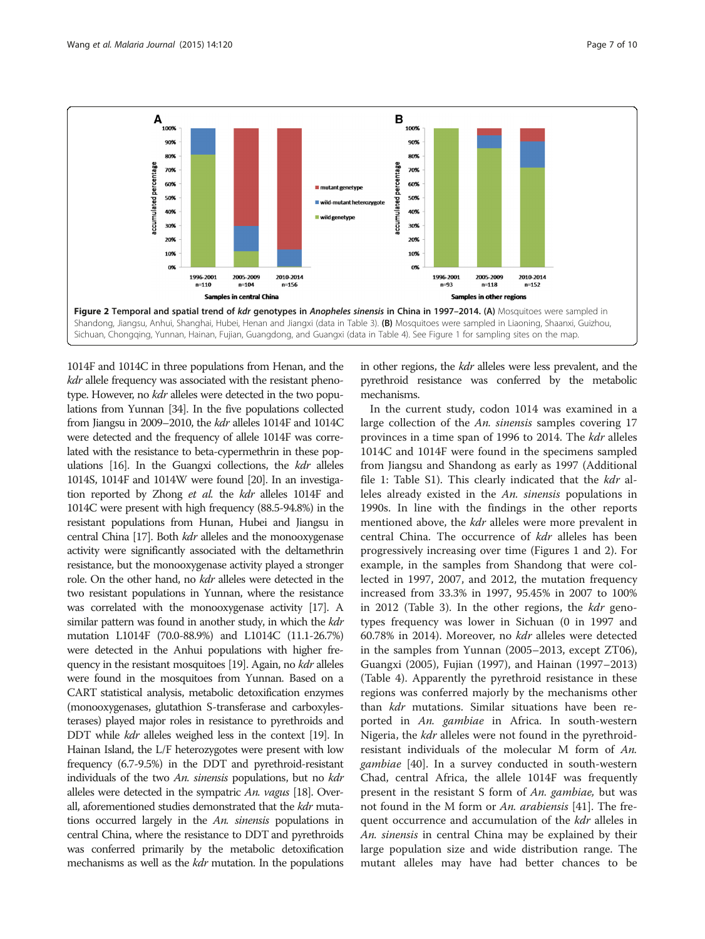<span id="page-6-0"></span>

1014F and 1014C in three populations from Henan, and the kdr allele frequency was associated with the resistant phenotype. However, no kdr alleles were detected in the two populations from Yunnan [\[34](#page-9-0)]. In the five populations collected from Jiangsu in 2009–2010, the kdr alleles 1014F and 1014C were detected and the frequency of allele 1014F was correlated with the resistance to beta-cypermethrin in these populations  $[16]$ . In the Guangxi collections, the *kdr* alleles 1014S, 1014F and 1014W were found [\[20](#page-8-0)]. In an investigation reported by Zhong et al. the kdr alleles 1014F and 1014C were present with high frequency (88.5-94.8%) in the resistant populations from Hunan, Hubei and Jiangsu in central China [\[17](#page-8-0)]. Both kdr alleles and the monooxygenase activity were significantly associated with the deltamethrin resistance, but the monooxygenase activity played a stronger role. On the other hand, no kdr alleles were detected in the two resistant populations in Yunnan, where the resistance was correlated with the monooxygenase activity [\[17](#page-8-0)]. A similar pattern was found in another study, in which the *kdr* mutation L1014F (70.0-88.9%) and L1014C (11.1-26.7%) were detected in the Anhui populations with higher fre-quency in the resistant mosquitoes [[19](#page-8-0)]. Again, no *kdr* alleles were found in the mosquitoes from Yunnan. Based on a CART statistical analysis, metabolic detoxification enzymes (monooxygenases, glutathion S-transferase and carboxylesterases) played major roles in resistance to pyrethroids and DDT while *kdr* alleles weighed less in the context [\[19](#page-8-0)]. In Hainan Island, the L/F heterozygotes were present with low frequency (6.7-9.5%) in the DDT and pyrethroid-resistant individuals of the two An. sinensis populations, but no kdr alleles were detected in the sympatric An. vagus [[18\]](#page-8-0). Overall, aforementioned studies demonstrated that the *kdr* mutations occurred largely in the An. sinensis populations in central China, where the resistance to DDT and pyrethroids was conferred primarily by the metabolic detoxification mechanisms as well as the kdr mutation. In the populations in other regions, the kdr alleles were less prevalent, and the pyrethroid resistance was conferred by the metabolic mechanisms.

In the current study, codon 1014 was examined in a large collection of the An. sinensis samples covering 17 provinces in a time span of 1996 to 2014. The kdr alleles 1014C and 1014F were found in the specimens sampled from Jiangsu and Shandong as early as 1997 (Additional file [1](#page-8-0): Table S1). This clearly indicated that the kdr alleles already existed in the An. sinensis populations in 1990s. In line with the findings in the other reports mentioned above, the *kdr* alleles were more prevalent in central China. The occurrence of kdr alleles has been progressively increasing over time (Figures [1](#page-4-0) and 2). For example, in the samples from Shandong that were collected in 1997, 2007, and 2012, the mutation frequency increased from 33.3% in 1997, 95.45% in 2007 to 100% in 2012 (Table [3](#page-5-0)). In the other regions, the kdr genotypes frequency was lower in Sichuan (0 in 1997 and 60.78% in 2014). Moreover, no kdr alleles were detected in the samples from Yunnan (2005–2013, except ZT06), Guangxi (2005), Fujian (1997), and Hainan (1997–2013) (Table [4\)](#page-7-0). Apparently the pyrethroid resistance in these regions was conferred majorly by the mechanisms other than *kdr* mutations. Similar situations have been reported in An. gambiae in Africa. In south-western Nigeria, the *kdr* alleles were not found in the pyrethroidresistant individuals of the molecular M form of An. gambiae [[40\]](#page-9-0). In a survey conducted in south-western Chad, central Africa, the allele 1014F was frequently present in the resistant S form of An. gambiae, but was not found in the M form or An. arabiensis [[41](#page-9-0)]. The frequent occurrence and accumulation of the *kdr* alleles in An. sinensis in central China may be explained by their large population size and wide distribution range. The mutant alleles may have had better chances to be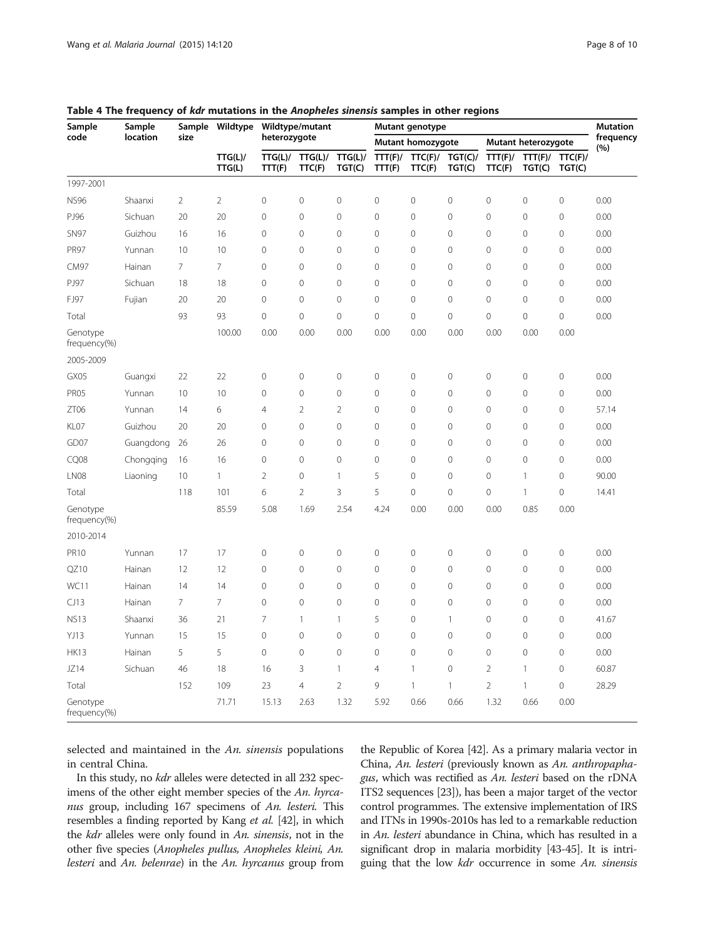| Sample                   | Sample<br>location | Sample         | Wildtype<br>TTG(L)/<br>TTG(L) | Wildtype/mutant<br>heterozygote |                   |                   | Mutant genotype          |                   |                     |                     |                   |                   | <b>Mutation</b>  |
|--------------------------|--------------------|----------------|-------------------------------|---------------------------------|-------------------|-------------------|--------------------------|-------------------|---------------------|---------------------|-------------------|-------------------|------------------|
| code                     |                    | size           |                               |                                 |                   |                   | <b>Mutant homozygote</b> |                   |                     | Mutant heterozygote |                   |                   | frequency<br>(%) |
|                          |                    |                |                               | TTG(L)/<br>TTT(F)               | TTG(L)/<br>TTC(F) | TTG(L)/<br>TGT(C) | TTT(F)/<br>TTT(F)        | TTC(F)/<br>TTC(F) | TGT(C)/<br>TGT(C)   | TTT(F)/<br>TTC(F)   | TTT(F)/<br>TGT(C) | TTC(F)/<br>TGT(C) |                  |
| 1997-2001                |                    |                |                               |                                 |                   |                   |                          |                   |                     |                     |                   |                   |                  |
| <b>NS96</b>              | Shaanxi            | $\overline{2}$ | $\overline{2}$                | $\mathbf 0$                     | $\mathbf 0$       | $\mathbf 0$       | $\mathbf 0$              | $\mathbf 0$       | $\mathbf 0$         | $\mathcal O$        | $\mathbf 0$       | $\mathbf 0$       | 0.00             |
| PJ96                     | Sichuan            | 20             | 20                            | $\mathbf 0$                     | $\mathbf 0$       | $\mathbf 0$       | $\mathbf{0}$             | $\mathbf 0$       | $\mathbf 0$         | $\mathbf 0$         | $\mathbf 0$       | $\mathbf 0$       | 0.00             |
| <b>SN97</b>              | Guizhou            | 16             | 16                            | $\overline{0}$                  | $\mathbf 0$       | $\overline{0}$    | $\mathbf{O}$             | $\overline{0}$    | $\mathbf 0$         | $\overline{0}$      | $\overline{0}$    | $\mathbf 0$       | 0.00             |
| <b>PR97</b>              | Yunnan             | 10             | 10                            | $\mathbf 0$                     | $\mathbf 0$       | $\mathbf 0$       | $\mathbf{0}$             | $\overline{0}$    | $\mathbf 0$         | $\mathbf 0$         | $\mathbf 0$       | $\mathbf 0$       | 0.00             |
| <b>CM97</b>              | Hainan             | $\overline{7}$ | $\overline{7}$                | $\mathbf 0$                     | $\mathbf 0$       | $\mathbf 0$       | $\mathbf 0$              | $\overline{0}$    | $\mathbf 0$         | $\mathbf 0$         | $\mathbf 0$       | $\mathbf 0$       | 0.00             |
| PJ97                     | Sichuan            | 18             | 18                            | $\overline{0}$                  | $\mathbf{0}$      | $\overline{0}$    | $\overline{0}$           | $\overline{0}$    | $\mathbf 0$         | $\mathbf{0}$        | 0                 | $\mathbf 0$       | 0.00             |
| FJ97                     | Fujian             | 20             | 20                            | $\mathbf 0$                     | $\mathbf 0$       | $\mathbf 0$       | $\mathbf 0$              | $\mathbf 0$       | $\mathbf 0$         | $\mathbf 0$         | $\mathbf 0$       | $\mathbf 0$       | 0.00             |
| Total                    |                    | 93             | 93                            | $\mathbf 0$                     | $\mathbf 0$       | $\overline{0}$    | $\mathbf 0$              | $\overline{0}$    | $\mathbf 0$         | $\overline{0}$      | $\overline{0}$    | $\mathbf 0$       | 0.00             |
| Genotype<br>frequency(%) |                    |                | 100.00                        | 0.00                            | 0.00              | 0.00              | 0.00                     | 0.00              | 0.00                | 0.00                | 0.00              | 0.00              |                  |
| 2005-2009                |                    |                |                               |                                 |                   |                   |                          |                   |                     |                     |                   |                   |                  |
| GX05                     | Guangxi            | 22             | 22                            | $\mathbf 0$                     | $\mathbf 0$       | $\mathbf 0$       | $\mathbf 0$              | $\mathbf 0$       | $\mathbf 0$         | $\mathbf 0$         | $\mathbf 0$       | $\mathbf 0$       | 0.00             |
| PR05                     | Yunnan             | 10             | 10                            | $\mathbf 0$                     | $\mathbf 0$       | $\mathbf 0$       | $\circ$                  | $\overline{0}$    | $\mathbf 0$         | $\mathbf 0$         | $\mathbf 0$       | $\mathbf 0$       | 0.00             |
| ZT06                     | Yunnan             | 14             | 6                             | $\overline{4}$                  | $\overline{2}$    | $\overline{2}$    | $\circ$                  | $\mathbf 0$       | $\mathbf 0$         | $\mathbf 0$         | $\mathbf 0$       | $\mathbf 0$       | 57.14            |
| KL07                     | Guizhou            | 20             | 20                            | $\overline{0}$                  | $\mathbf 0$       | $\mathbf 0$       | $\mathbb O$              | $\overline{0}$    | $\mathbf 0$         | $\mathbf 0$         | $\overline{0}$    | $\mathbf 0$       | 0.00             |
| GD07                     | Guangdong          | 26             | 26                            | $\overline{0}$                  | $\overline{0}$    | $\overline{0}$    | $\mathbf 0$              | $\overline{0}$    | $\mathbf 0$         | $\mathbf 0$         | $\overline{0}$    | $\mathbf 0$       | 0.00             |
| CQ08                     | Chongqing          | 16             | 16                            | $\mathbf 0$                     | $\mathbf 0$       | $\mathbf 0$       | $\mathbf{0}$             | $\Omega$          | $\mathsf{O}\xspace$ | $\mathbf 0$         | $\mathbf 0$       | $\mathbf 0$       | 0.00             |
| LN08                     | Liaoning           | 10             | $\mathbf{1}$                  | $\overline{2}$                  | $\mathbf 0$       | $\mathbf{1}$      | 5                        | $\overline{0}$    | $\mathbf 0$         | $\mathbf 0$         | $\mathbf{1}$      | $\mathbf 0$       | 90.00            |
| Total                    |                    | 118            | 101                           | 6                               | $\overline{2}$    | 3                 | 5                        | $\overline{0}$    | $\overline{0}$      | $\overline{0}$      | $\mathbf{1}$      | $\mathbf 0$       | 14.41            |
| Genotype<br>frequency(%) |                    |                | 85.59                         | 5.08                            | 1.69              | 2.54              | 4.24                     | 0.00              | 0.00                | 0.00                | 0.85              | 0.00              |                  |
| 2010-2014                |                    |                |                               |                                 |                   |                   |                          |                   |                     |                     |                   |                   |                  |
| <b>PR10</b>              | Yunnan             | 17             | 17                            | $\mathbf 0$                     | $\mathbf 0$       | $\mathbf 0$       | $\mathbf 0$              | $\mathbf 0$       | $\mathbf 0$         | $\mathbf 0$         | $\overline{0}$    | $\mathbf 0$       | 0.00             |
| QZ10                     | Hainan             | 12             | 12                            | $\overline{0}$                  | $\overline{0}$    | $\overline{0}$    | $\overline{0}$           | $\overline{0}$    | $\overline{0}$      | $\overline{0}$      | $\overline{0}$    | $\mathbf 0$       | 0.00             |
| WC11                     | Hainan             | 14             | 14                            | $\mathbf 0$                     | $\mathbf 0$       | $\mathbf 0$       | $\mathbf{0}$             | $\mathbf 0$       | $\mathbf 0$         | $\mathbf 0$         | $\mathbf 0$       | $\mathbf 0$       | 0.00             |
| CJ13                     | Hainan             | $\overline{7}$ | $7\overline{ }$               | $\overline{0}$                  | $\mathbf 0$       | $\overline{0}$    | $\mathbf 0$              | $\overline{0}$    | $\mathbf 0$         | $\mathbf 0$         | $\mathbf 0$       | $\mathbf 0$       | 0.00             |
| <b>NS13</b>              | Shaanxi            | 36             | 21                            | 7                               | $\mathbf{1}$      | $\overline{1}$    | 5                        | $\mathbf 0$       | $\mathbf{1}$        | $\mathbf{0}$        | $\mathbf 0$       | $\mathbf 0$       | 41.67            |
| YJ13                     | Yunnan             | 15             | 15                            | $\mathbf 0$                     | $\mathbf 0$       | $\mathbf 0$       | $\mathbf 0$              | $\overline{0}$    | $\mathbf 0$         | $\mathbf 0$         | $\mathbf 0$       | $\mathbf 0$       | 0.00             |
| <b>HK13</b>              | Hainan             | 5              | 5                             | $\mathbf 0$                     | $\mathbf 0$       | $\overline{0}$    | $\mathbf{0}$             | $\mathbf 0$       | $\mathbf 0$         | $\mathbf 0$         | $\mathbf 0$       | $\mathbf 0$       | 0.00             |
| JZ14                     | Sichuan            | 46             | 18                            | 16                              | 3                 | $\mathbf{1}$      | $\overline{4}$           | 1                 | $\mathsf{O}\xspace$ | $\overline{2}$      | $\mathbf{1}$      | $\mathbf 0$       | 60.87            |
| Total                    |                    | 152            | 109                           | 23                              | $\overline{4}$    | $\overline{2}$    | 9                        | $\mathbf{1}$      | $\mathbf{1}$        | $\overline{2}$      | $\mathbf{1}$      | $\mathbf 0$       | 28.29            |
| Genotype<br>frequency(%) |                    |                | 71.71                         | 15.13                           | 2.63              | 1.32              | 5.92                     | 0.66              | 0.66                | 1.32                | 0.66              | 0.00              |                  |

<span id="page-7-0"></span>Table 4 The frequency of kdr mutations in the Anopheles sinensis samples in other regions

selected and maintained in the  $An.$  sinensis populations in central China.

In this study, no kdr alleles were detected in all 232 specimens of the other eight member species of the An. hyrcanus group, including 167 specimens of An. lesteri. This resembles a finding reported by Kang et al. [[42](#page-9-0)], in which the kdr alleles were only found in An. sinensis, not in the other five species (Anopheles pullus, Anopheles kleini, An. lesteri and An. belenrae) in the An. hyrcanus group from

the Republic of Korea [\[42\]](#page-9-0). As a primary malaria vector in China, An. lesteri (previously known as An. anthropaphagus, which was rectified as An. lesteri based on the rDNA ITS2 sequences [\[23\]](#page-8-0)), has been a major target of the vector control programmes. The extensive implementation of IRS and ITNs in 1990s-2010s has led to a remarkable reduction in An. lesteri abundance in China, which has resulted in a significant drop in malaria morbidity [\[43-45](#page-9-0)]. It is intriguing that the low kdr occurrence in some An. sinensis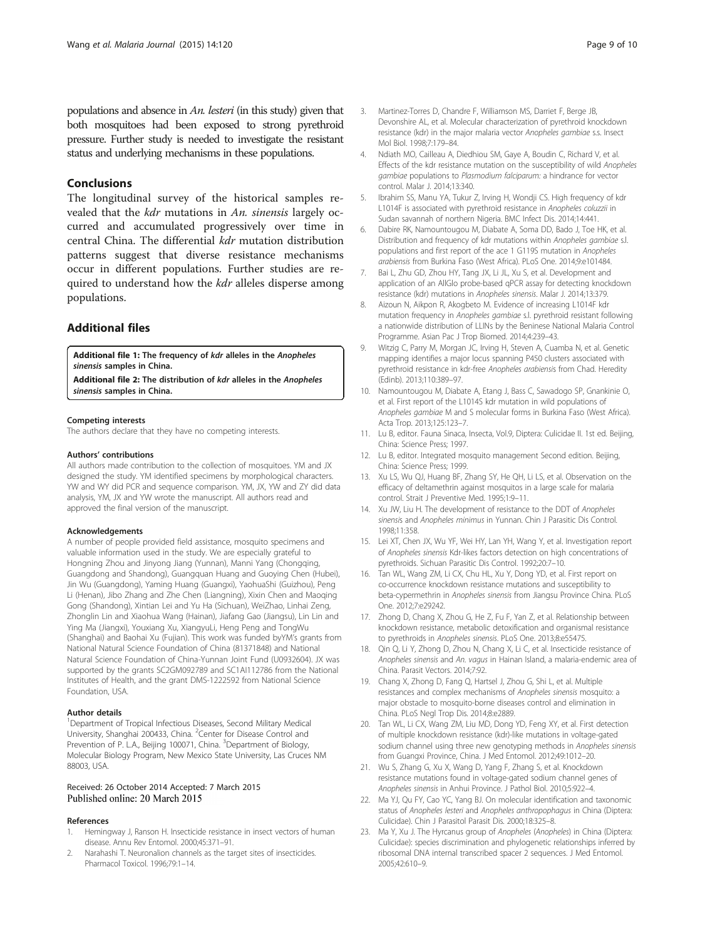<span id="page-8-0"></span>populations and absence in An. lesteri (in this study) given that both mosquitoes had been exposed to strong pyrethroid pressure. Further study is needed to investigate the resistant status and underlying mechanisms in these populations.

# Conclusions

The longitudinal survey of the historical samples revealed that the kdr mutations in An. sinensis largely occurred and accumulated progressively over time in central China. The differential kdr mutation distribution patterns suggest that diverse resistance mechanisms occur in different populations. Further studies are required to understand how the *kdr* alleles disperse among populations.

# Additional files

[Additional file 1:](http://www.malariajournal.com/content/supplementary/s12936-015-0644-0-s1.xlsx) The frequency of kdr alleles in the Anopheles sinensis samples in China.

[Additional file 2:](http://www.malariajournal.com/content/supplementary/s12936-015-0644-0-s2.xlsx) The distribution of kdr alleles in the Anopheles sinensis samples in China.

#### Competing interests

The authors declare that they have no competing interests.

#### Authors' contributions

All authors made contribution to the collection of mosquitoes. YM and JX designed the study. YM identified specimens by morphological characters. YW and WY did PCR and sequence comparison. YM, JX, YW and ZY did data analysis, YM, JX and YW wrote the manuscript. All authors read and approved the final version of the manuscript.

#### Acknowledgements

A number of people provided field assistance, mosquito specimens and valuable information used in the study. We are especially grateful to Hongning Zhou and Jinyong Jiang (Yunnan), Manni Yang (Chongqing, Guangdong and Shandong), Guangquan Huang and Guoying Chen (Hubei), Jin Wu (Guangdong), Yaming Huang (Guangxi), YaohuaShi (Guizhou), Peng Li (Henan), Jibo Zhang and Zhe Chen (Liangning), Xixin Chen and Maoqing Gong (Shandong), Xintian Lei and Yu Ha (Sichuan), WeiZhao, Linhai Zeng, Zhonglin Lin and Xiaohua Wang (Hainan), Jiafang Gao (Jiangsu), Lin Lin and Ying Ma (Jiangxi), Youxiang Xu, XiangyuLi, Heng Peng and TongWu (Shanghai) and Baohai Xu (Fujian). This work was funded byYM's grants from National Natural Science Foundation of China (81371848) and National Natural Science Foundation of China-Yunnan Joint Fund (U0932604). JX was supported by the grants SC2GM092789 and SC1AI112786 from the National Institutes of Health, and the grant DMS-1222592 from National Science Foundation, USA.

#### Author details

<sup>1</sup>Department of Tropical Infectious Diseases, Second Military Medical University, Shanghai 200433, China. <sup>2</sup>Center for Disease Control and Prevention of P. L.A., Beijing 100071, China. <sup>3</sup>Department of Biology, Molecular Biology Program, New Mexico State University, Las Cruces NM 88003, USA.

# Received: 26 October 2014 Accepted: 7 March 2015

## References

- 1. Hemingway J, Ranson H. Insecticide resistance in insect vectors of human disease. Annu Rev Entomol. 2000;45:371–91.
- 2. Narahashi T. Neuronalion channels as the target sites of insecticides. Pharmacol Toxicol. 1996;79:1–14.
- 3. Martinez-Torres D, Chandre F, Williamson MS, Darriet F, Berge JB, Devonshire AL, et al. Molecular characterization of pyrethroid knockdown resistance (kdr) in the major malaria vector Anopheles gambiae s.s. Insect Mol Biol. 1998;7:179–84.
- 4. Ndiath MO, Cailleau A, Diedhiou SM, Gaye A, Boudin C, Richard V, et al. Effects of the kdr resistance mutation on the susceptibility of wild Anopheles gambiae populations to Plasmodium falciparum: a hindrance for vector control. Malar J. 2014;13:340.
- 5. Ibrahim SS, Manu YA, Tukur Z, Irving H, Wondji CS. High frequency of kdr L1014F is associated with pyrethroid resistance in Anopheles coluzzii in Sudan savannah of northern Nigeria. BMC Infect Dis. 2014;14:441.
- 6. Dabire RK, Namountougou M, Diabate A, Soma DD, Bado J, Toe HK, et al. Distribution and frequency of kdr mutations within Anopheles gambiae s.l. populations and first report of the ace 1 G119S mutation in Anopheles arabiensis from Burkina Faso (West Africa). PLoS One. 2014;9:e101484.
- 7. Bai L, Zhu GD, Zhou HY, Tang JX, Li JL, Xu S, et al. Development and application of an AllGlo probe-based qPCR assay for detecting knockdown resistance (kdr) mutations in Anopheles sinensis. Malar J. 2014;13:379.
- 8. Aizoun N, Aikpon R, Akogbeto M. Evidence of increasing L1014F kdr mutation frequency in Anopheles gambiae s.l. pyrethroid resistant following a nationwide distribution of LLINs by the Beninese National Malaria Control Programme. Asian Pac J Trop Biomed. 2014;4:239–43.
- 9. Witzig C, Parry M, Morgan JC, Irving H, Steven A, Cuamba N, et al. Genetic mapping identifies a major locus spanning P450 clusters associated with pyrethroid resistance in kdr-free Anopheles arabiensis from Chad. Heredity (Edinb). 2013;110:389–97.
- 10. Namountougou M, Diabate A, Etang J, Bass C, Sawadogo SP, Gnankinie O, et al. First report of the L1014S kdr mutation in wild populations of Anopheles gambiae M and S molecular forms in Burkina Faso (West Africa). Acta Trop. 2013;125:123–7.
- 11. Lu B, editor. Fauna Sinaca, Insecta, Vol.9, Diptera: Culicidae II. 1st ed. Beijing, China: Science Press; 1997.
- 12. Lu B, editor. Integrated mosquito management Second edition. Beijing, China: Science Press; 1999.
- 13. Xu LS, Wu QJ, Huang BF, Zhang SY, He QH, Li LS, et al. Observation on the efficacy of deltamethrin against mosquitos in a large scale for malaria control. Strait J Preventive Med. 1995;1:9–11.
- 14. Xu JW, Liu H. The development of resistance to the DDT of Anopheles sinensis and Anopheles minimus in Yunnan. Chin J Parasitic Dis Control. 1998;11:358.
- 15. Lei XT, Chen JX, Wu YF, Wei HY, Lan YH, Wang Y, et al. Investigation report of Anopheles sinensis Kdr-likes factors detection on high concentrations of pyrethroids. Sichuan Parasitic Dis Control. 1992;20:7–10.
- 16. Tan WL, Wang ZM, Li CX, Chu HL, Xu Y, Dong YD, et al. First report on co-occurrence knockdown resistance mutations and susceptibility to beta-cypermethrin in Anopheles sinensis from Jiangsu Province China. PLoS One. 2012;7:e29242.
- 17. Zhong D, Chang X, Zhou G, He Z, Fu F, Yan Z, et al. Relationship between knockdown resistance, metabolic detoxification and organismal resistance to pyrethroids in Anopheles sinensis. PLoS One. 2013;8:e55475.
- 18. Qin Q, Li Y, Zhong D, Zhou N, Chang X, Li C, et al. Insecticide resistance of Anopheles sinensis and An. vagus in Hainan Island, a malaria-endemic area of China. Parasit Vectors. 2014;7:92.
- 19. Chang X, Zhong D, Fang Q, Hartsel J, Zhou G, Shi L, et al. Multiple resistances and complex mechanisms of Anopheles sinensis mosquito: a major obstacle to mosquito-borne diseases control and elimination in China. PLoS Negl Trop Dis. 2014;8:e2889.
- 20. Tan WL, Li CX, Wang ZM, Liu MD, Dong YD, Feng XY, et al. First detection of multiple knockdown resistance (kdr)-like mutations in voltage-gated sodium channel using three new genotyping methods in Anopheles sinensis from Guangxi Province, China. J Med Entomol. 2012;49:1012–20.
- 21. Wu S, Zhang G, Xu X, Wang D, Yang F, Zhang S, et al. Knockdown resistance mutations found in voltage-gated sodium channel genes of Anopheles sinensis in Anhui Province. J Pathol Biol. 2010;5:922–4.
- 22. Ma YJ, Qu FY, Cao YC, Yang BJ. On molecular identification and taxonomic status of Anopheles lesteri and Anopheles anthropophagus in China (Diptera: Culicidae). Chin J Parasitol Parasit Dis. 2000;18:325–8.
- 23. Ma Y, Xu J. The Hyrcanus group of Anopheles (Anopheles) in China (Diptera: Culicidae): species discrimination and phylogenetic relationships inferred by ribosomal DNA internal transcribed spacer 2 sequences. J Med Entomol. 2005;42:610–9.